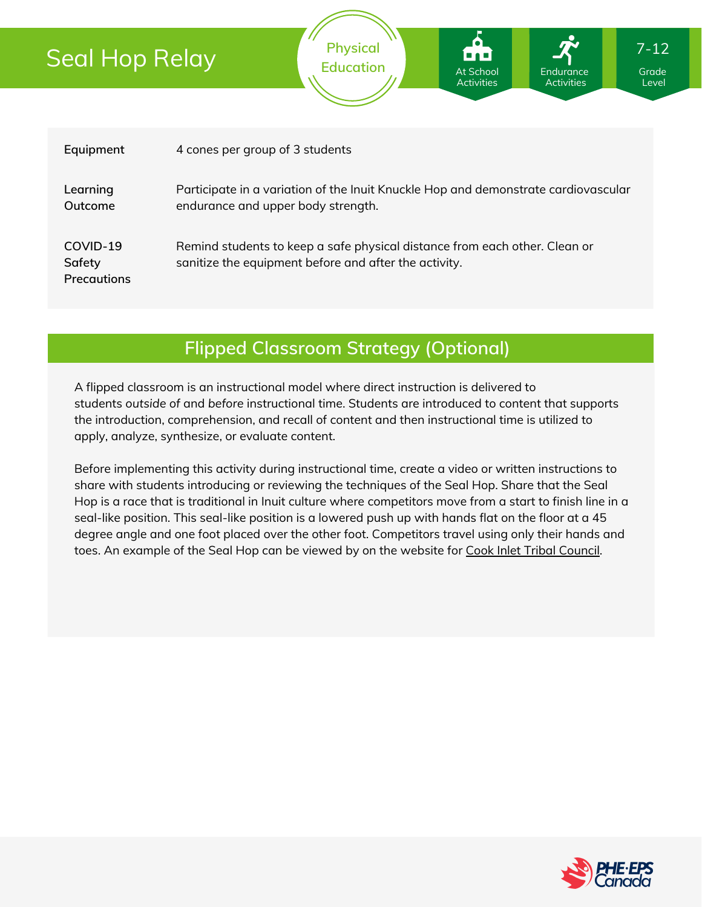# Seal Hop Relay



**Physical**

### **Flipped Classroom Strategy (Optional)**

A flipped classroom is an instructional model where direct instruction is delivered to students *outside of* and *before* instructional time. Students are introduced to content that supports the introduction, comprehension, and recall of content and then instructional time is utilized to apply, analyze, synthesize, or evaluate content.

Before implementing this activity during instructional time, create a video or written instructions to share with students introducing or reviewing the techniques of the Seal Hop. Share that the Seal Hop is a race that is traditional in Inuit culture where competitors move from a start to finish line in a seal-like position. This seal-like position is a lowered push up with hands flat on the floor at a 45 degree angle and one foot placed over the other foot. Competitors travel using only their hands and toes. An example of the Seal Hop can be viewed by on the website for Cook Inlet Tribal [Council](https://citci.org/partnerships-events/nyo-games/competitive-events/seal-hop/).



7-12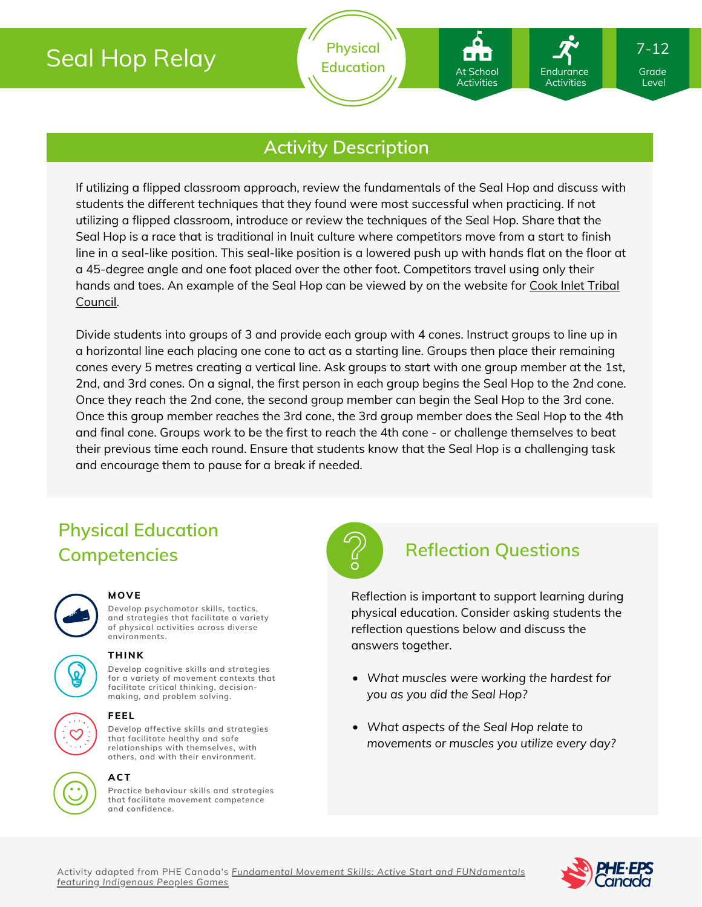# Seal Hop Relay

**Physical** Education **At School** Endurance Grade

At School Activities

Endurance **Activities** 

### **Activity Description**

If utilizing a flipped classroom approach, review the fundamentals of the Seal Hop and discuss with students the different techniques that they found were most successful when practicing. If not utilizing a flipped classroom, introduce or review the techniques of the Seal Hop. Share that the Seal Hop is a race that is traditional in Inuit culture where competitors move from a start to finish line in a seal-like position. This seal-like position is a lowered push up with hands flat on the floor at a 45-degree angle and one foot placed over the other foot. Competitors travel using only their hands and toes. An [example](https://citci.org/partnerships-events/nyo-games/competitive-events/seal-hop/) of the Seal Hop can be viewed by on the website for Cook Inlet Tribal Council.

Divide students into groups of 3 and provide each group with 4 cones. Instruct groups to line up in a horizontal line each placing one cone to act as a starting line. Groups then place their remaining cones every 5 metres creating a vertical line. Ask groups to start with one group member at the 1st, 2nd, and 3rd cones. On a signal, the first person in each group begins the Seal Hop to the 2nd cone. Once they reach the 2nd cone, the second group member can begin the Seal Hop to the 3rd cone. Once this group member reaches the 3rd cone, the 3rd group member does the Seal Hop to the 4th and final cone. Groups work to be the first to reach the 4th cone - or challenge themselves to beat their previous time each round. Ensure that students know that the Seal Hop is a challenging task and encourage them to pause for a break if needed.

## **Physical Education Competencies Reflection Questions**



#### **MOVE**

**Develop psychomotor skills, tactics, and strategies that facilitate a variety of physical activities across diverse environments.**



## **Develop cognitive skills and strategies**

**THINK**

**for a variety of movement contexts that facilitate critical thinking, decision making, and problem solving.**



#### **FEEL**

**Develop affective skills and strategies that facilitate healthy and safe relationships with themselves, with others, and with their environment.**



#### **ACT**

**Practice behaviour skills and strategies that facilitate movement competence and confidence.**



Reflection is important to support learning during physical education. Consider asking students the reflection questions below and discuss the answers together.

- *What muscles were working the hardest for you as you did the Seal Hop?*
- *What aspects of the Seal Hop relate to movements or muscles you utilize every day?*



Level

7-12